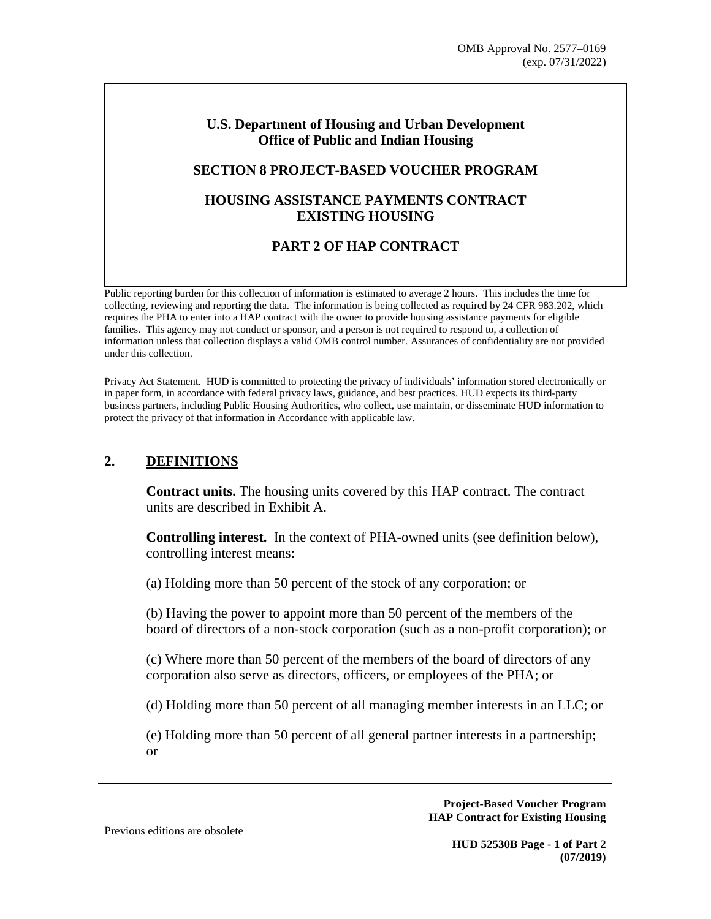#### **U.S. Department of Housing and Urban Development Office of Public and Indian Housing**

#### **SECTION 8 PROJECT-BASED VOUCHER PROGRAM**

# **HOUSING ASSISTANCE PAYMENTS CONTRACT EXISTING HOUSING**

# **PART 2 OF HAP CONTRACT**

Public reporting burden for this collection of information is estimated to average 2 hours. This includes the time for collecting, reviewing and reporting the data. The information is being collected as required by 24 CFR 983.202, which requires the PHA to enter into a HAP contract with the owner to provide housing assistance payments for eligible families. This agency may not conduct or sponsor, and a person is not required to respond to, a collection of information unless that collection displays a valid OMB control number. Assurances of confidentiality are not provided under this collection.

Privacy Act Statement. HUD is committed to protecting the privacy of individuals' information stored electronically or in paper form, in accordance with federal privacy laws, guidance, and best practices. HUD expects its third-party business partners, including Public Housing Authorities, who collect, use maintain, or disseminate HUD information to protect the privacy of that information in Accordance with applicable law.

# **2. DEFINITIONS**

**Contract units.** The housing units covered by this HAP contract. The contract units are described in Exhibit A.

**Controlling interest.** In the context of PHA-owned units (see definition below), controlling interest means:

(a) Holding more than 50 percent of the stock of any corporation; or

(b) Having the power to appoint more than 50 percent of the members of the board of directors of a non-stock corporation (such as a non-profit corporation); or

(c) Where more than 50 percent of the members of the board of directors of any corporation also serve as directors, officers, or employees of the PHA; or

(d) Holding more than 50 percent of all managing member interests in an LLC; or

(e) Holding more than 50 percent of all general partner interests in a partnership; or

> **Project-Based Voucher Program HAP Contract for Existing Housing**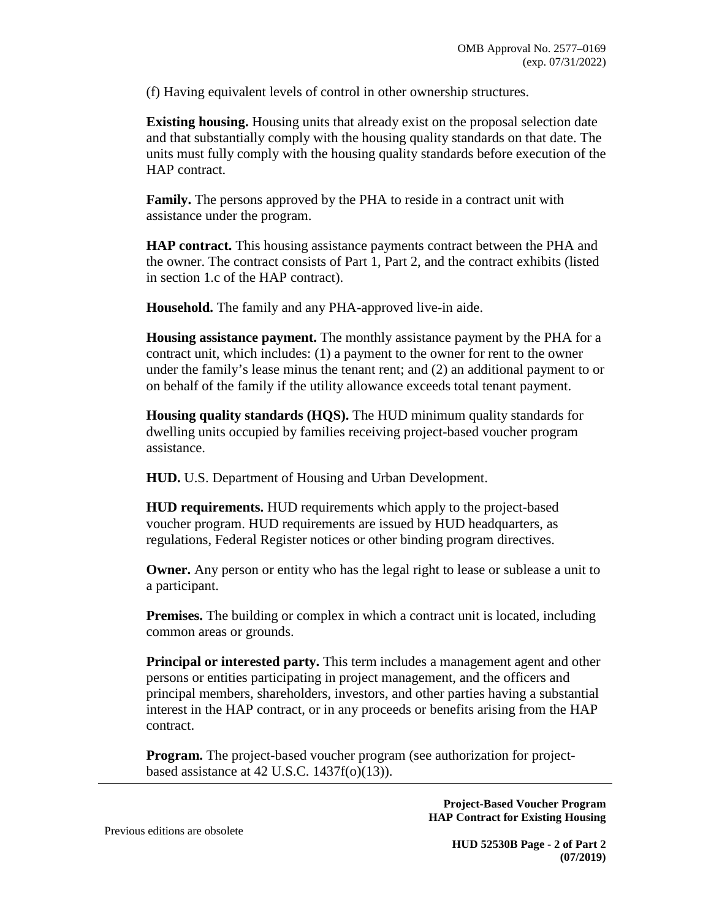(f) Having equivalent levels of control in other ownership structures.

**Existing housing.** Housing units that already exist on the proposal selection date and that substantially comply with the housing quality standards on that date. The units must fully comply with the housing quality standards before execution of the HAP contract.

**Family.** The persons approved by the PHA to reside in a contract unit with assistance under the program.

**HAP contract.** This housing assistance payments contract between the PHA and the owner. The contract consists of Part 1, Part 2, and the contract exhibits (listed in section 1.c of the HAP contract).

**Household.** The family and any PHA-approved live-in aide.

**Housing assistance payment.** The monthly assistance payment by the PHA for a contract unit, which includes: (1) a payment to the owner for rent to the owner under the family's lease minus the tenant rent; and (2) an additional payment to or on behalf of the family if the utility allowance exceeds total tenant payment.

**Housing quality standards (HQS).** The HUD minimum quality standards for dwelling units occupied by families receiving project-based voucher program assistance.

**HUD.** U.S. Department of Housing and Urban Development.

**HUD requirements.** HUD requirements which apply to the project-based voucher program. HUD requirements are issued by HUD headquarters, as regulations, Federal Register notices or other binding program directives.

**Owner.** Any person or entity who has the legal right to lease or sublease a unit to a participant.

**Premises.** The building or complex in which a contract unit is located, including common areas or grounds.

**Principal or interested party.** This term includes a management agent and other persons or entities participating in project management, and the officers and principal members, shareholders, investors, and other parties having a substantial interest in the HAP contract, or in any proceeds or benefits arising from the HAP contract.

**Program.** The project-based voucher program (see authorization for projectbased assistance at 42 U.S.C.  $1437f(o)(13)$ ).

> **Project-Based Voucher Program HAP Contract for Existing Housing**

Previous editions are obsolete

**HUD 52530B Page - 2 of Part 2 (07/2019)**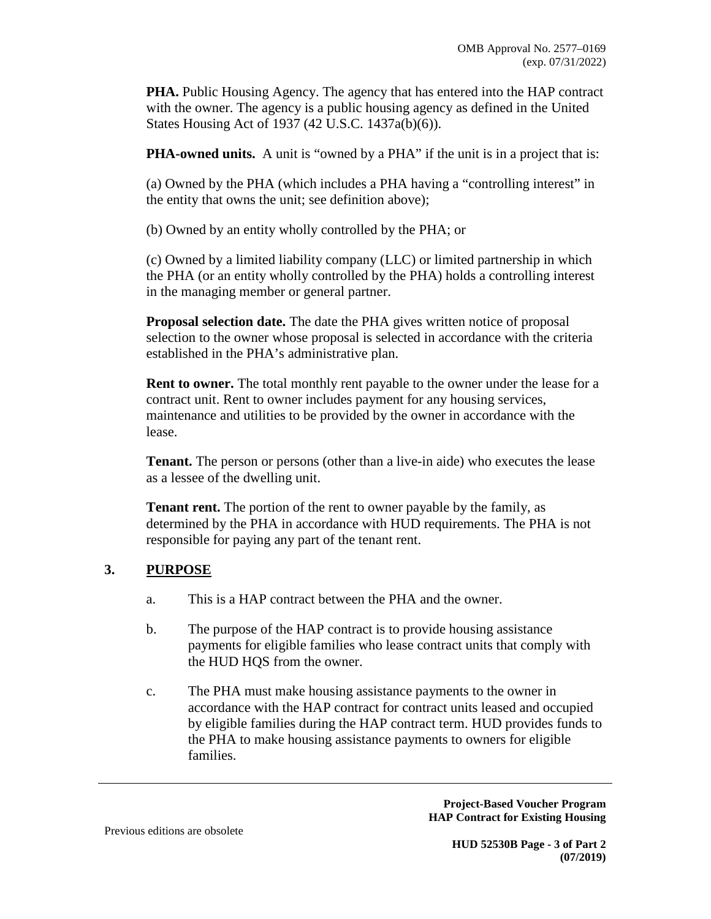**PHA.** Public Housing Agency. The agency that has entered into the HAP contract with the owner. The agency is a public housing agency as defined in the United States Housing Act of 1937 (42 U.S.C. 1437a(b)(6)).

**PHA-owned units.** A unit is "owned by a PHA" if the unit is in a project that is:

(a) Owned by the PHA (which includes a PHA having a "controlling interest" in the entity that owns the unit; see definition above);

(b) Owned by an entity wholly controlled by the PHA; or

(c) Owned by a limited liability company (LLC) or limited partnership in which the PHA (or an entity wholly controlled by the PHA) holds a controlling interest in the managing member or general partner.

**Proposal selection date.** The date the PHA gives written notice of proposal selection to the owner whose proposal is selected in accordance with the criteria established in the PHA's administrative plan.

**Rent to owner.** The total monthly rent payable to the owner under the lease for a contract unit. Rent to owner includes payment for any housing services, maintenance and utilities to be provided by the owner in accordance with the lease.

**Tenant.** The person or persons (other than a live-in aide) who executes the lease as a lessee of the dwelling unit.

**Tenant rent.** The portion of the rent to owner payable by the family, as determined by the PHA in accordance with HUD requirements. The PHA is not responsible for paying any part of the tenant rent.

# **3. PURPOSE**

- a. This is a HAP contract between the PHA and the owner.
- b. The purpose of the HAP contract is to provide housing assistance payments for eligible families who lease contract units that comply with the HUD HQS from the owner.
- c. The PHA must make housing assistance payments to the owner in accordance with the HAP contract for contract units leased and occupied by eligible families during the HAP contract term. HUD provides funds to the PHA to make housing assistance payments to owners for eligible families.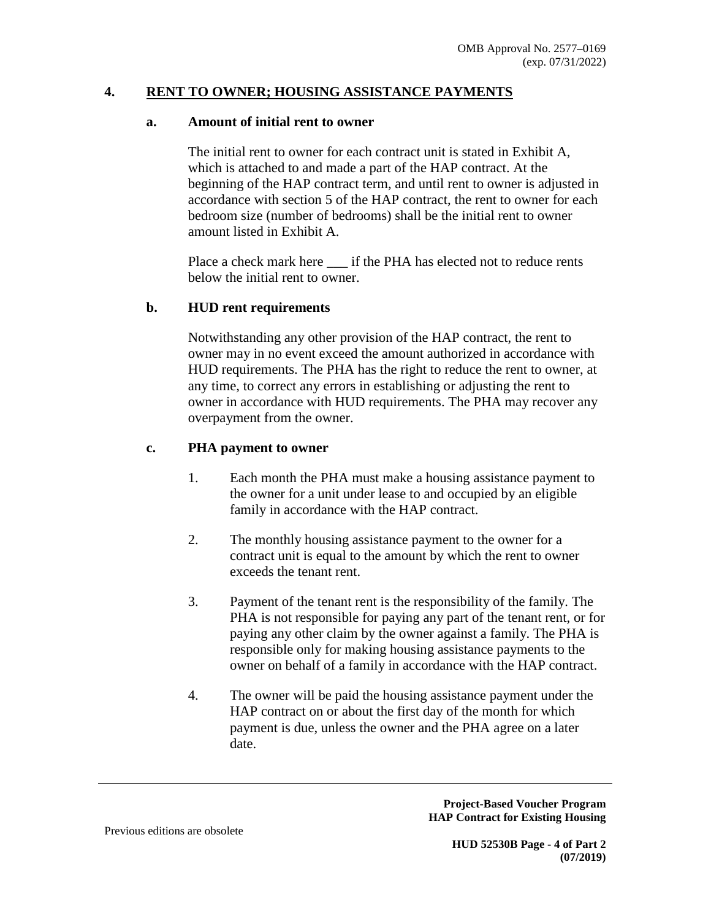### **4. RENT TO OWNER; HOUSING ASSISTANCE PAYMENTS**

### **a. Amount of initial rent to owner**

The initial rent to owner for each contract unit is stated in Exhibit A, which is attached to and made a part of the HAP contract. At the beginning of the HAP contract term, and until rent to owner is adjusted in accordance with section 5 of the HAP contract, the rent to owner for each bedroom size (number of bedrooms) shall be the initial rent to owner amount listed in Exhibit A.

Place a check mark here \_\_\_ if the PHA has elected not to reduce rents below the initial rent to owner.

#### **b. HUD rent requirements**

Notwithstanding any other provision of the HAP contract, the rent to owner may in no event exceed the amount authorized in accordance with HUD requirements. The PHA has the right to reduce the rent to owner, at any time, to correct any errors in establishing or adjusting the rent to owner in accordance with HUD requirements. The PHA may recover any overpayment from the owner.

#### **c. PHA payment to owner**

- 1. Each month the PHA must make a housing assistance payment to the owner for a unit under lease to and occupied by an eligible family in accordance with the HAP contract.
- 2. The monthly housing assistance payment to the owner for a contract unit is equal to the amount by which the rent to owner exceeds the tenant rent.
- 3. Payment of the tenant rent is the responsibility of the family. The PHA is not responsible for paying any part of the tenant rent, or for paying any other claim by the owner against a family. The PHA is responsible only for making housing assistance payments to the owner on behalf of a family in accordance with the HAP contract.
- 4. The owner will be paid the housing assistance payment under the HAP contract on or about the first day of the month for which payment is due, unless the owner and the PHA agree on a later date.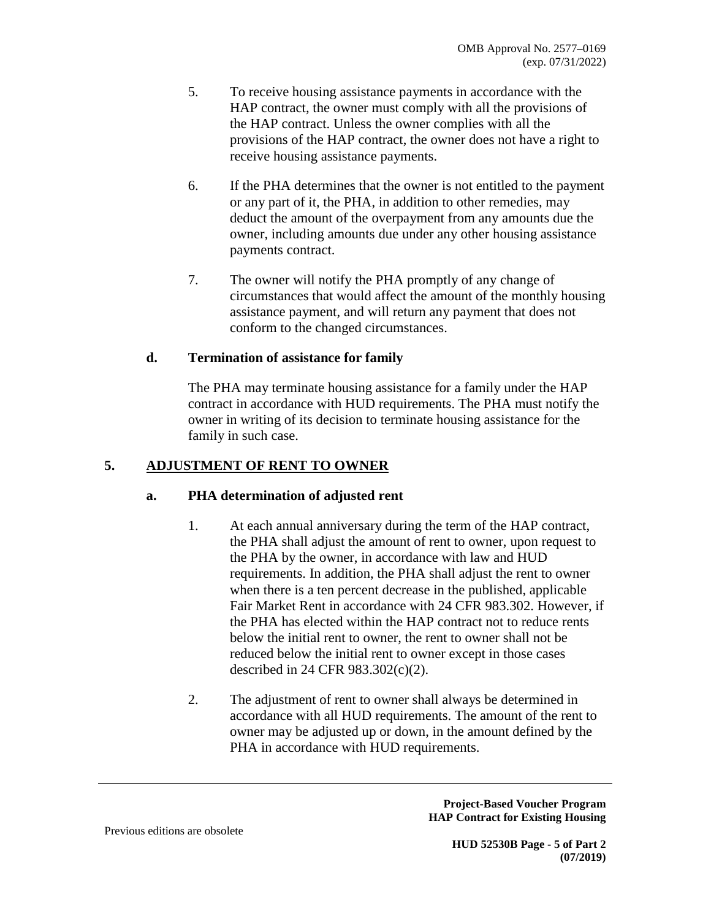- 5. To receive housing assistance payments in accordance with the HAP contract, the owner must comply with all the provisions of the HAP contract. Unless the owner complies with all the provisions of the HAP contract, the owner does not have a right to receive housing assistance payments.
- 6. If the PHA determines that the owner is not entitled to the payment or any part of it, the PHA, in addition to other remedies, may deduct the amount of the overpayment from any amounts due the owner, including amounts due under any other housing assistance payments contract.
- 7. The owner will notify the PHA promptly of any change of circumstances that would affect the amount of the monthly housing assistance payment, and will return any payment that does not conform to the changed circumstances.

# **d. Termination of assistance for family**

The PHA may terminate housing assistance for a family under the HAP contract in accordance with HUD requirements. The PHA must notify the owner in writing of its decision to terminate housing assistance for the family in such case.

# **5. ADJUSTMENT OF RENT TO OWNER**

# **a. PHA determination of adjusted rent**

- 1. At each annual anniversary during the term of the HAP contract, the PHA shall adjust the amount of rent to owner, upon request to the PHA by the owner, in accordance with law and HUD requirements. In addition, the PHA shall adjust the rent to owner when there is a ten percent decrease in the published, applicable Fair Market Rent in accordance with 24 CFR 983.302. However, if the PHA has elected within the HAP contract not to reduce rents below the initial rent to owner, the rent to owner shall not be reduced below the initial rent to owner except in those cases described in 24 CFR 983.302(c)(2).
- 2. The adjustment of rent to owner shall always be determined in accordance with all HUD requirements. The amount of the rent to owner may be adjusted up or down, in the amount defined by the PHA in accordance with HUD requirements.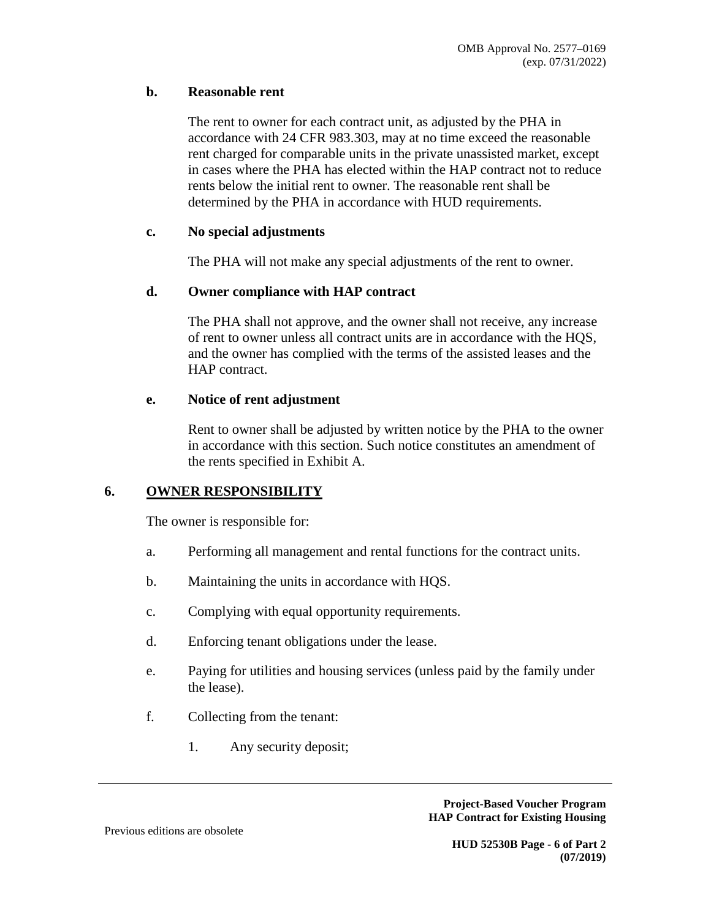### **b. Reasonable rent**

The rent to owner for each contract unit, as adjusted by the PHA in accordance with 24 CFR 983.303, may at no time exceed the reasonable rent charged for comparable units in the private unassisted market, except in cases where the PHA has elected within the HAP contract not to reduce rents below the initial rent to owner. The reasonable rent shall be determined by the PHA in accordance with HUD requirements.

#### **c. No special adjustments**

The PHA will not make any special adjustments of the rent to owner.

### **d. Owner compliance with HAP contract**

The PHA shall not approve, and the owner shall not receive, any increase of rent to owner unless all contract units are in accordance with the HQS, and the owner has complied with the terms of the assisted leases and the HAP contract.

### **e. Notice of rent adjustment**

Rent to owner shall be adjusted by written notice by the PHA to the owner in accordance with this section. Such notice constitutes an amendment of the rents specified in Exhibit A.

# **6. OWNER RESPONSIBILITY**

The owner is responsible for:

- a. Performing all management and rental functions for the contract units.
- b. Maintaining the units in accordance with HQS.
- c. Complying with equal opportunity requirements.
- d. Enforcing tenant obligations under the lease.
- e. Paying for utilities and housing services (unless paid by the family under the lease).
- f. Collecting from the tenant:
	- 1. Any security deposit;

**Project-Based Voucher Program HAP Contract for Existing Housing**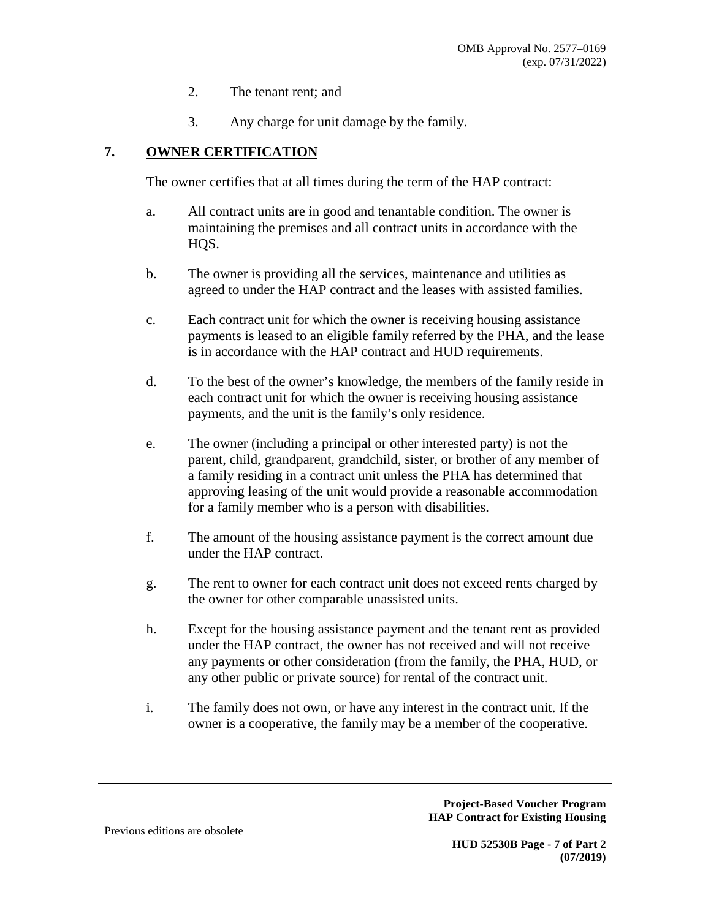- 2. The tenant rent; and
- 3. Any charge for unit damage by the family.

# **7. OWNER CERTIFICATION**

The owner certifies that at all times during the term of the HAP contract:

- a. All contract units are in good and tenantable condition. The owner is maintaining the premises and all contract units in accordance with the HOS.
- b. The owner is providing all the services, maintenance and utilities as agreed to under the HAP contract and the leases with assisted families.
- c. Each contract unit for which the owner is receiving housing assistance payments is leased to an eligible family referred by the PHA, and the lease is in accordance with the HAP contract and HUD requirements.
- d. To the best of the owner's knowledge, the members of the family reside in each contract unit for which the owner is receiving housing assistance payments, and the unit is the family's only residence.
- e. The owner (including a principal or other interested party) is not the parent, child, grandparent, grandchild, sister, or brother of any member of a family residing in a contract unit unless the PHA has determined that approving leasing of the unit would provide a reasonable accommodation for a family member who is a person with disabilities.
- f. The amount of the housing assistance payment is the correct amount due under the HAP contract.
- g. The rent to owner for each contract unit does not exceed rents charged by the owner for other comparable unassisted units.
- h. Except for the housing assistance payment and the tenant rent as provided under the HAP contract, the owner has not received and will not receive any payments or other consideration (from the family, the PHA, HUD, or any other public or private source) for rental of the contract unit.
- i. The family does not own, or have any interest in the contract unit. If the owner is a cooperative, the family may be a member of the cooperative.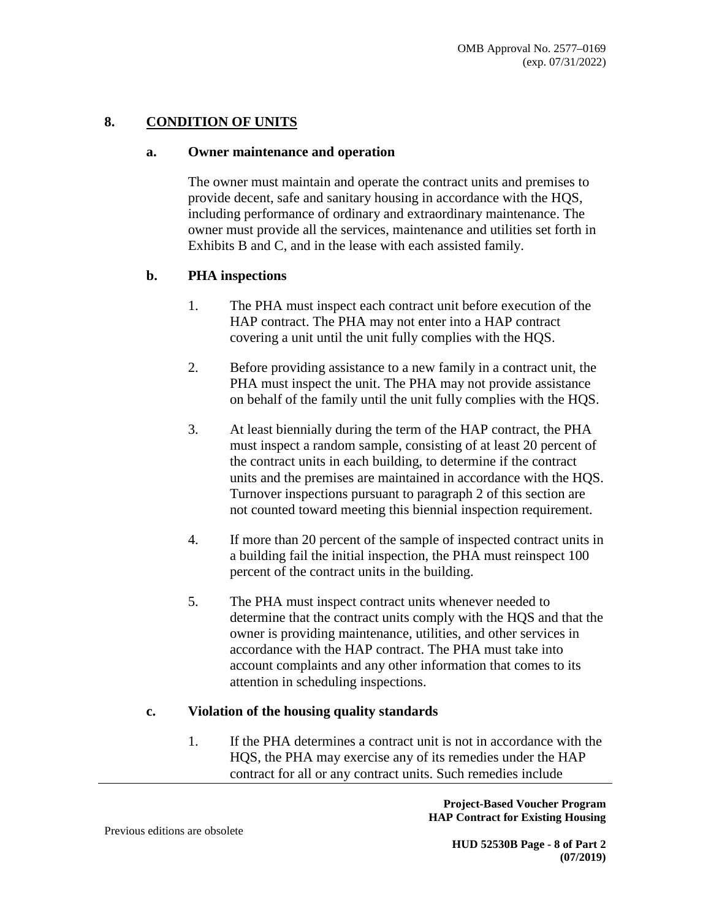# **8. CONDITION OF UNITS**

#### **a. Owner maintenance and operation**

The owner must maintain and operate the contract units and premises to provide decent, safe and sanitary housing in accordance with the HQS, including performance of ordinary and extraordinary maintenance. The owner must provide all the services, maintenance and utilities set forth in Exhibits B and C, and in the lease with each assisted family.

### **b. PHA inspections**

- 1. The PHA must inspect each contract unit before execution of the HAP contract. The PHA may not enter into a HAP contract covering a unit until the unit fully complies with the HQS.
- 2. Before providing assistance to a new family in a contract unit, the PHA must inspect the unit. The PHA may not provide assistance on behalf of the family until the unit fully complies with the HQS.
- 3. At least biennially during the term of the HAP contract, the PHA must inspect a random sample, consisting of at least 20 percent of the contract units in each building, to determine if the contract units and the premises are maintained in accordance with the HQS. Turnover inspections pursuant to paragraph 2 of this section are not counted toward meeting this biennial inspection requirement.
- 4. If more than 20 percent of the sample of inspected contract units in a building fail the initial inspection, the PHA must reinspect 100 percent of the contract units in the building.
- 5. The PHA must inspect contract units whenever needed to determine that the contract units comply with the HQS and that the owner is providing maintenance, utilities, and other services in accordance with the HAP contract. The PHA must take into account complaints and any other information that comes to its attention in scheduling inspections.

# **c. Violation of the housing quality standards**

1. If the PHA determines a contract unit is not in accordance with the HQS, the PHA may exercise any of its remedies under the HAP contract for all or any contract units. Such remedies include

> **Project-Based Voucher Program HAP Contract for Existing Housing**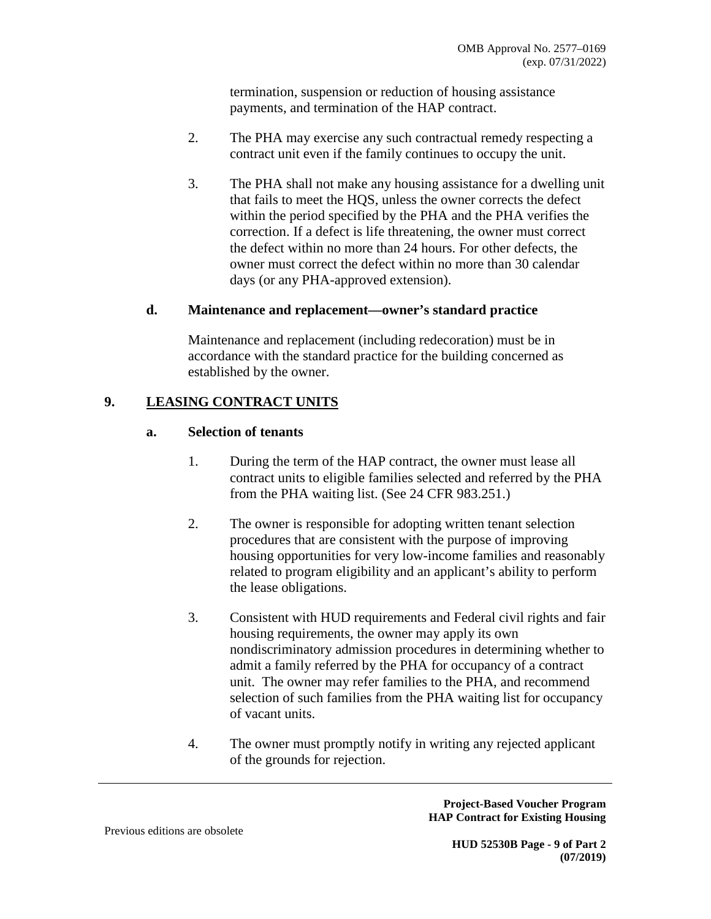termination, suspension or reduction of housing assistance payments, and termination of the HAP contract.

- 2. The PHA may exercise any such contractual remedy respecting a contract unit even if the family continues to occupy the unit.
- 3. The PHA shall not make any housing assistance for a dwelling unit that fails to meet the HQS, unless the owner corrects the defect within the period specified by the PHA and the PHA verifies the correction. If a defect is life threatening, the owner must correct the defect within no more than 24 hours. For other defects, the owner must correct the defect within no more than 30 calendar days (or any PHA-approved extension).

### **d. Maintenance and replacement—owner's standard practice**

Maintenance and replacement (including redecoration) must be in accordance with the standard practice for the building concerned as established by the owner.

# **9. LEASING CONTRACT UNITS**

### **a. Selection of tenants**

- 1. During the term of the HAP contract, the owner must lease all contract units to eligible families selected and referred by the PHA from the PHA waiting list. (See 24 CFR 983.251.)
- 2. The owner is responsible for adopting written tenant selection procedures that are consistent with the purpose of improving housing opportunities for very low-income families and reasonably related to program eligibility and an applicant's ability to perform the lease obligations.
- 3. Consistent with HUD requirements and Federal civil rights and fair housing requirements, the owner may apply its own nondiscriminatory admission procedures in determining whether to admit a family referred by the PHA for occupancy of a contract unit. The owner may refer families to the PHA, and recommend selection of such families from the PHA waiting list for occupancy of vacant units.
- 4. The owner must promptly notify in writing any rejected applicant of the grounds for rejection.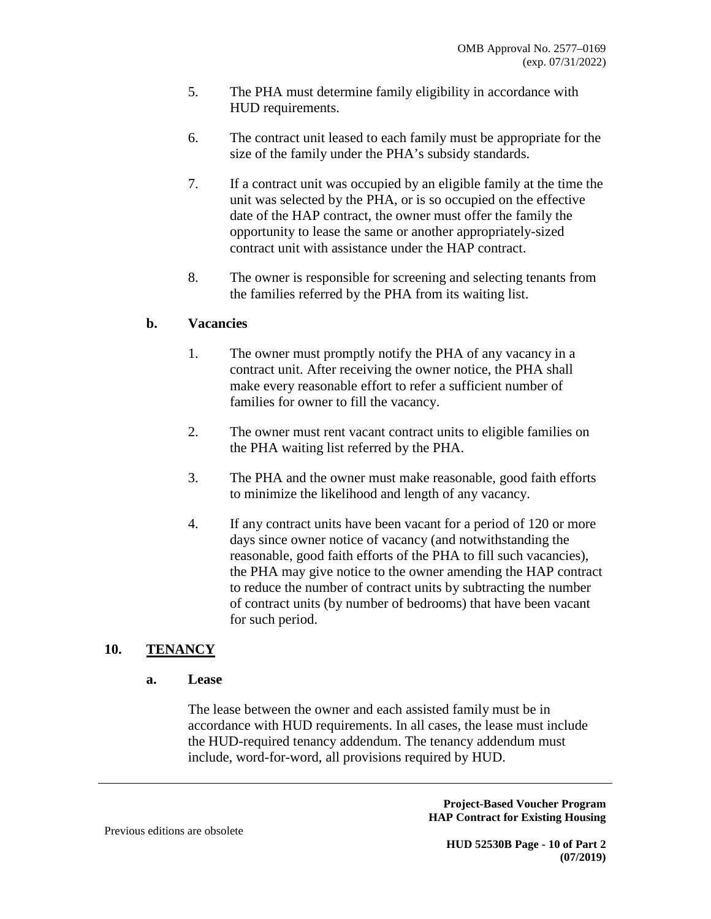- 5. The PHA must determine family eligibility in accordance with HUD requirements.
- 6. The contract unit leased to each family must be appropriate for the size of the family under the PHA's subsidy standards.
- 7. If a contract unit was occupied by an eligible family at the time the unit was selected by the PHA, or is so occupied on the effective date of the HAP contract, the owner must offer the family the opportunity to lease the same or another appropriately-sized contract unit with assistance under the HAP contract.
- 8. The owner is responsible for screening and selecting tenants from the families referred by the PHA from its waiting list.

# **b. Vacancies**

- 1. The owner must promptly notify the PHA of any vacancy in a contract unit. After receiving the owner notice, the PHA shall make every reasonable effort to refer a sufficient number of families for owner to fill the vacancy.
- 2. The owner must rent vacant contract units to eligible families on the PHA waiting list referred by the PHA.
- 3. The PHA and the owner must make reasonable, good faith efforts to minimize the likelihood and length of any vacancy.
- 4. If any contract units have been vacant for a period of 120 or more days since owner notice of vacancy (and notwithstanding the reasonable, good faith efforts of the PHA to fill such vacancies), the PHA may give notice to the owner amending the HAP contract to reduce the number of contract units by subtracting the number of contract units (by number of bedrooms) that have been vacant for such period.

# **10. TENANCY**

#### **a. Lease**

The lease between the owner and each assisted family must be in accordance with HUD requirements. In all cases, the lease must include the HUD-required tenancy addendum. The tenancy addendum must include, word-for-word, all provisions required by HUD.

> **Project-Based Voucher Program HAP Contract for Existing Housing**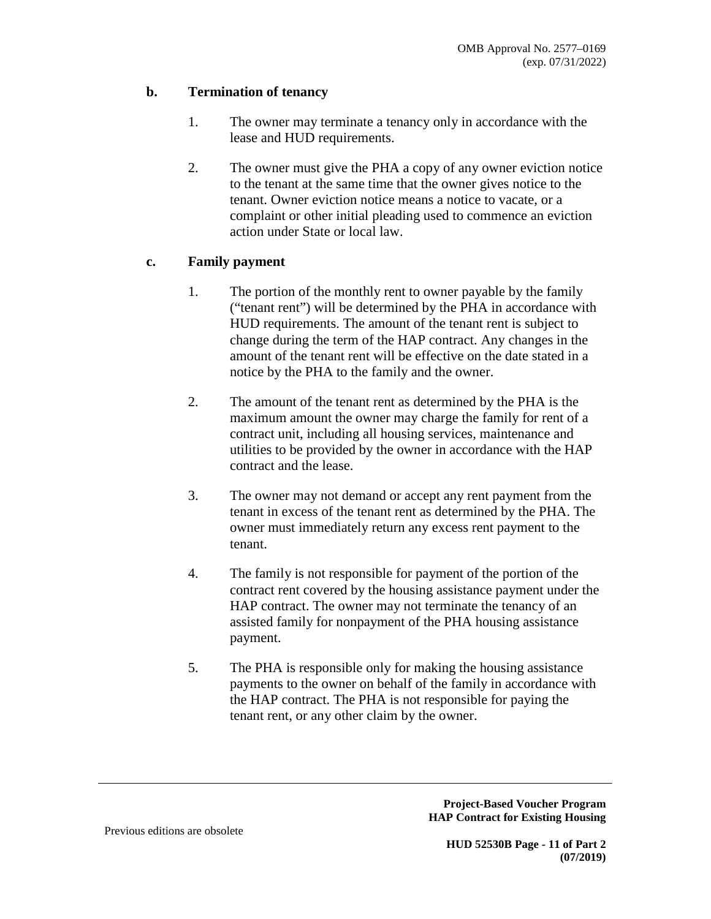# **b. Termination of tenancy**

- 1. The owner may terminate a tenancy only in accordance with the lease and HUD requirements.
- 2. The owner must give the PHA a copy of any owner eviction notice to the tenant at the same time that the owner gives notice to the tenant. Owner eviction notice means a notice to vacate, or a complaint or other initial pleading used to commence an eviction action under State or local law.

# **c. Family payment**

- 1. The portion of the monthly rent to owner payable by the family ("tenant rent") will be determined by the PHA in accordance with HUD requirements. The amount of the tenant rent is subject to change during the term of the HAP contract. Any changes in the amount of the tenant rent will be effective on the date stated in a notice by the PHA to the family and the owner.
- 2. The amount of the tenant rent as determined by the PHA is the maximum amount the owner may charge the family for rent of a contract unit, including all housing services, maintenance and utilities to be provided by the owner in accordance with the HAP contract and the lease.
- 3. The owner may not demand or accept any rent payment from the tenant in excess of the tenant rent as determined by the PHA. The owner must immediately return any excess rent payment to the tenant.
- 4. The family is not responsible for payment of the portion of the contract rent covered by the housing assistance payment under the HAP contract. The owner may not terminate the tenancy of an assisted family for nonpayment of the PHA housing assistance payment.
- 5. The PHA is responsible only for making the housing assistance payments to the owner on behalf of the family in accordance with the HAP contract. The PHA is not responsible for paying the tenant rent, or any other claim by the owner.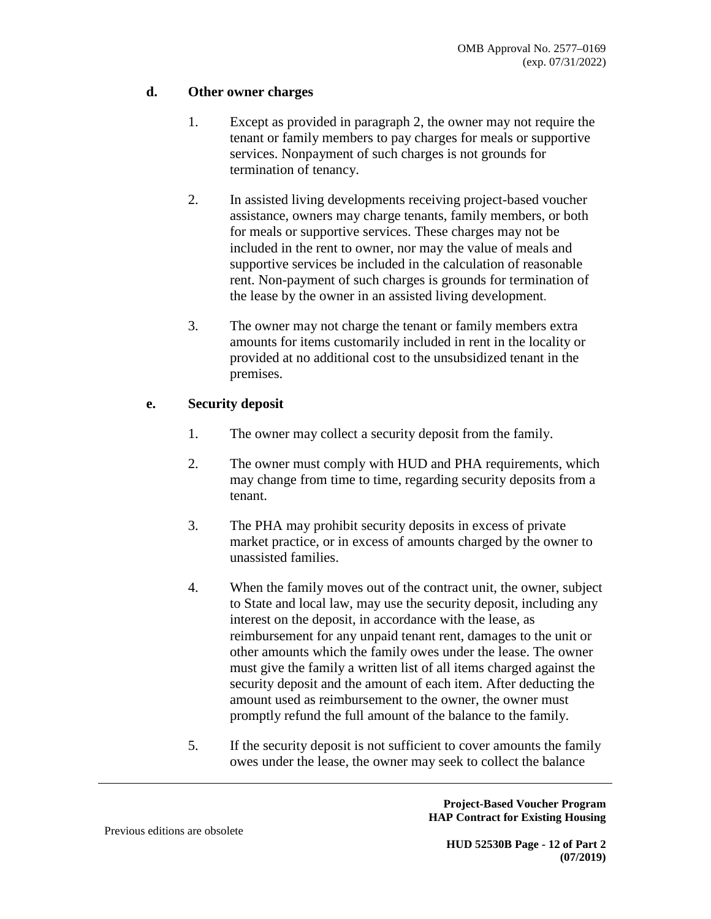# **d. Other owner charges**

- 1. Except as provided in paragraph 2, the owner may not require the tenant or family members to pay charges for meals or supportive services. Nonpayment of such charges is not grounds for termination of tenancy.
- 2. In assisted living developments receiving project-based voucher assistance, owners may charge tenants, family members, or both for meals or supportive services. These charges may not be included in the rent to owner, nor may the value of meals and supportive services be included in the calculation of reasonable rent. Non-payment of such charges is grounds for termination of the lease by the owner in an assisted living development.
- 3. The owner may not charge the tenant or family members extra amounts for items customarily included in rent in the locality or provided at no additional cost to the unsubsidized tenant in the premises.

# **e. Security deposit**

- 1. The owner may collect a security deposit from the family.
- 2. The owner must comply with HUD and PHA requirements, which may change from time to time, regarding security deposits from a tenant.
- 3. The PHA may prohibit security deposits in excess of private market practice, or in excess of amounts charged by the owner to unassisted families.
- 4. When the family moves out of the contract unit, the owner, subject to State and local law, may use the security deposit, including any interest on the deposit, in accordance with the lease, as reimbursement for any unpaid tenant rent, damages to the unit or other amounts which the family owes under the lease. The owner must give the family a written list of all items charged against the security deposit and the amount of each item. After deducting the amount used as reimbursement to the owner, the owner must promptly refund the full amount of the balance to the family.
- 5. If the security deposit is not sufficient to cover amounts the family owes under the lease, the owner may seek to collect the balance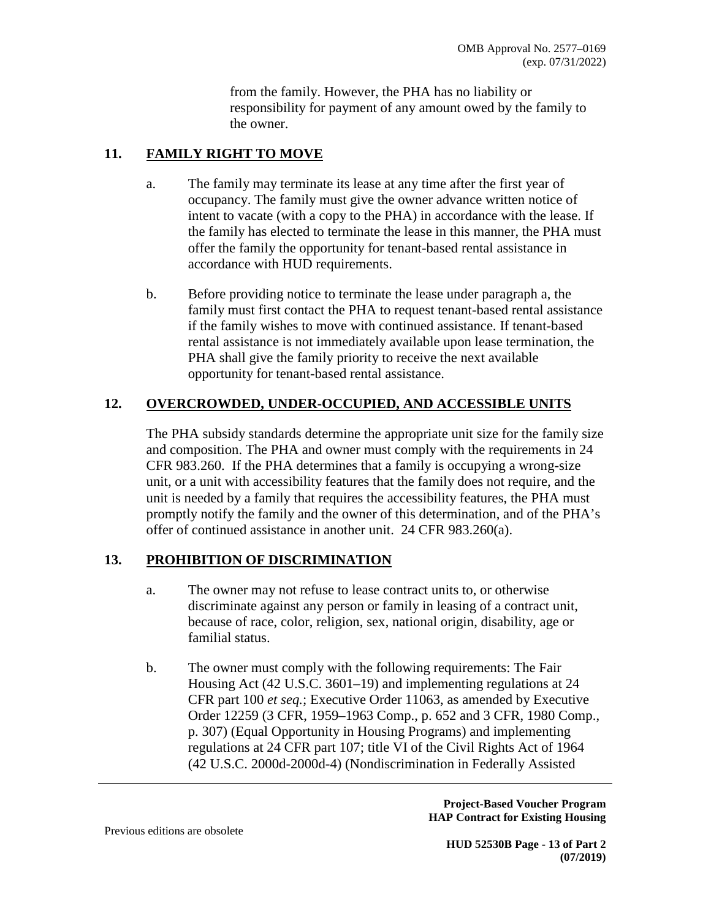from the family. However, the PHA has no liability or responsibility for payment of any amount owed by the family to the owner.

# **11. FAMILY RIGHT TO MOVE**

- a. The family may terminate its lease at any time after the first year of occupancy. The family must give the owner advance written notice of intent to vacate (with a copy to the PHA) in accordance with the lease. If the family has elected to terminate the lease in this manner, the PHA must offer the family the opportunity for tenant-based rental assistance in accordance with HUD requirements.
- b. Before providing notice to terminate the lease under paragraph a, the family must first contact the PHA to request tenant-based rental assistance if the family wishes to move with continued assistance. If tenant-based rental assistance is not immediately available upon lease termination, the PHA shall give the family priority to receive the next available opportunity for tenant-based rental assistance.

# **12. OVERCROWDED, UNDER-OCCUPIED, AND ACCESSIBLE UNITS**

The PHA subsidy standards determine the appropriate unit size for the family size and composition. The PHA and owner must comply with the requirements in 24 CFR 983.260. If the PHA determines that a family is occupying a wrong-size unit, or a unit with accessibility features that the family does not require, and the unit is needed by a family that requires the accessibility features, the PHA must promptly notify the family and the owner of this determination, and of the PHA's offer of continued assistance in another unit. 24 CFR 983.260(a).

# **13. PROHIBITION OF DISCRIMINATION**

- a. The owner may not refuse to lease contract units to, or otherwise discriminate against any person or family in leasing of a contract unit, because of race, color, religion, sex, national origin, disability, age or familial status.
- b. The owner must comply with the following requirements: The Fair Housing Act (42 U.S.C. 3601–19) and implementing regulations at 24 CFR part 100 *et seq.*; Executive Order 11063, as amended by Executive Order 12259 (3 CFR, 1959–1963 Comp., p. 652 and 3 CFR, 1980 Comp., p. 307) (Equal Opportunity in Housing Programs) and implementing regulations at 24 CFR part 107; title VI of the Civil Rights Act of 1964 (42 U.S.C. 2000d-2000d-4) (Nondiscrimination in Federally Assisted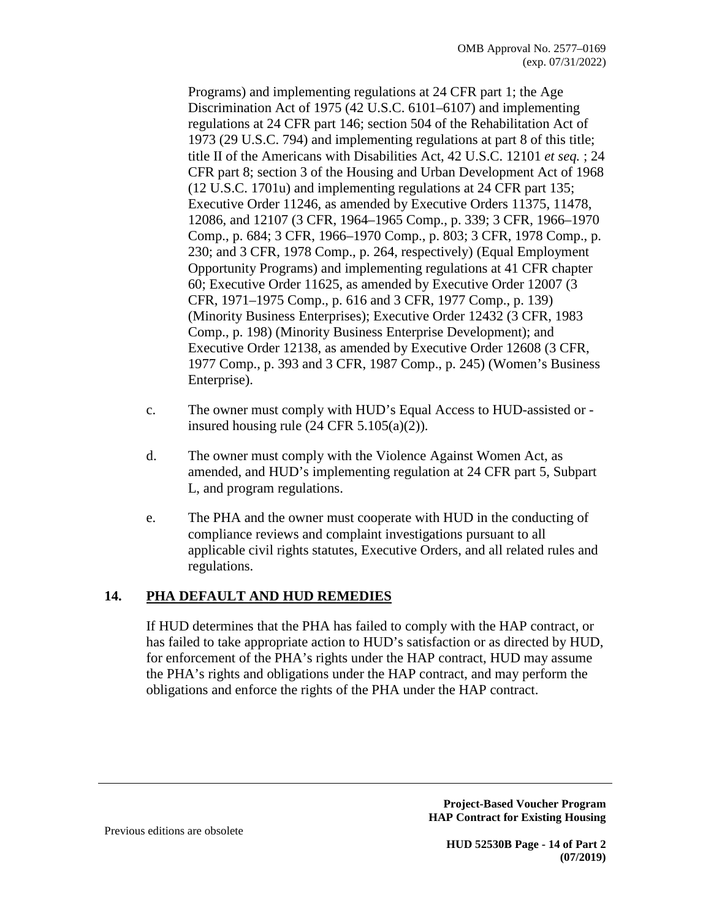Programs) and implementing regulations at 24 CFR part 1; the Age Discrimination Act of 1975 (42 U.S.C. 6101–6107) and implementing regulations at 24 CFR part 146; section 504 of the Rehabilitation Act of 1973 (29 U.S.C. 794) and implementing regulations at part 8 of this title; title II of the Americans with Disabilities Act, 42 U.S.C. 12101 *et seq.* ; 24 CFR part 8; section 3 of the Housing and Urban Development Act of 1968 (12 U.S.C. 1701u) and implementing regulations at 24 CFR part 135; Executive Order 11246, as amended by Executive Orders 11375, 11478, 12086, and 12107 (3 CFR, 1964–1965 Comp., p. 339; 3 CFR, 1966–1970 Comp., p. 684; 3 CFR, 1966–1970 Comp., p. 803; 3 CFR, 1978 Comp., p. 230; and 3 CFR, 1978 Comp., p. 264, respectively) (Equal Employment Opportunity Programs) and implementing regulations at 41 CFR chapter 60; Executive Order 11625, as amended by Executive Order 12007 (3 CFR, 1971–1975 Comp., p. 616 and 3 CFR, 1977 Comp., p. 139) (Minority Business Enterprises); Executive Order 12432 (3 CFR, 1983 Comp., p. 198) (Minority Business Enterprise Development); and Executive Order 12138, as amended by Executive Order 12608 (3 CFR, 1977 Comp., p. 393 and 3 CFR, 1987 Comp., p. 245) (Women's Business Enterprise).

- c. The owner must comply with HUD's Equal Access to HUD-assisted or insured housing rule  $(24 \text{ CFR } 5.105(a)(2))$ .
- d. The owner must comply with the Violence Against Women Act, as amended, and HUD's implementing regulation at 24 CFR part 5, Subpart L, and program regulations.
- e. The PHA and the owner must cooperate with HUD in the conducting of compliance reviews and complaint investigations pursuant to all applicable civil rights statutes, Executive Orders, and all related rules and regulations.

# **14. PHA DEFAULT AND HUD REMEDIES**

If HUD determines that the PHA has failed to comply with the HAP contract, or has failed to take appropriate action to HUD's satisfaction or as directed by HUD, for enforcement of the PHA's rights under the HAP contract, HUD may assume the PHA's rights and obligations under the HAP contract, and may perform the obligations and enforce the rights of the PHA under the HAP contract.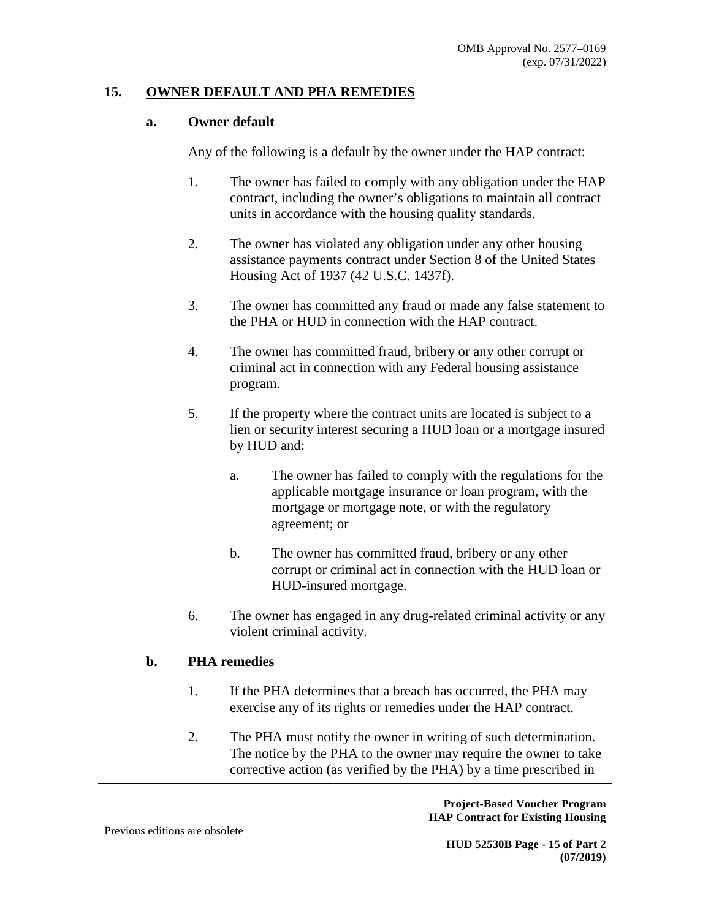#### **15. OWNER DEFAULT AND PHA REMEDIES**

#### **a. Owner default**

Any of the following is a default by the owner under the HAP contract:

- 1. The owner has failed to comply with any obligation under the HAP contract, including the owner's obligations to maintain all contract units in accordance with the housing quality standards.
- 2. The owner has violated any obligation under any other housing assistance payments contract under Section 8 of the United States Housing Act of 1937 (42 U.S.C. 1437f).
- 3. The owner has committed any fraud or made any false statement to the PHA or HUD in connection with the HAP contract.
- 4. The owner has committed fraud, bribery or any other corrupt or criminal act in connection with any Federal housing assistance program.
- 5. If the property where the contract units are located is subject to a lien or security interest securing a HUD loan or a mortgage insured by HUD and:
	- a. The owner has failed to comply with the regulations for the applicable mortgage insurance or loan program, with the mortgage or mortgage note, or with the regulatory agreement; or
	- b. The owner has committed fraud, bribery or any other corrupt or criminal act in connection with the HUD loan or HUD-insured mortgage.
- 6. The owner has engaged in any drug-related criminal activity or any violent criminal activity.

#### **b. PHA remedies**

- 1. If the PHA determines that a breach has occurred, the PHA may exercise any of its rights or remedies under the HAP contract.
- 2. The PHA must notify the owner in writing of such determination. The notice by the PHA to the owner may require the owner to take corrective action (as verified by the PHA) by a time prescribed in

**Project-Based Voucher Program HAP Contract for Existing Housing**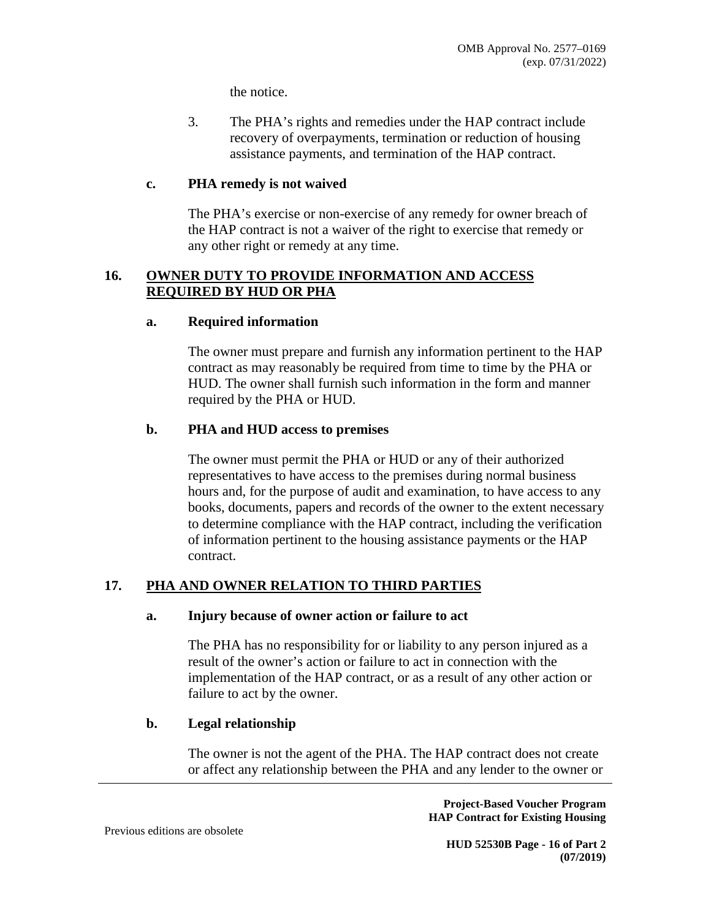the notice.

3. The PHA's rights and remedies under the HAP contract include recovery of overpayments, termination or reduction of housing assistance payments, and termination of the HAP contract.

#### **c. PHA remedy is not waived**

The PHA's exercise or non-exercise of any remedy for owner breach of the HAP contract is not a waiver of the right to exercise that remedy or any other right or remedy at any time.

### **16. OWNER DUTY TO PROVIDE INFORMATION AND ACCESS REQUIRED BY HUD OR PHA**

#### **a. Required information**

The owner must prepare and furnish any information pertinent to the HAP contract as may reasonably be required from time to time by the PHA or HUD. The owner shall furnish such information in the form and manner required by the PHA or HUD.

#### **b. PHA and HUD access to premises**

The owner must permit the PHA or HUD or any of their authorized representatives to have access to the premises during normal business hours and, for the purpose of audit and examination, to have access to any books, documents, papers and records of the owner to the extent necessary to determine compliance with the HAP contract, including the verification of information pertinent to the housing assistance payments or the HAP contract.

# **17. PHA AND OWNER RELATION TO THIRD PARTIES**

#### **a. Injury because of owner action or failure to act**

The PHA has no responsibility for or liability to any person injured as a result of the owner's action or failure to act in connection with the implementation of the HAP contract, or as a result of any other action or failure to act by the owner.

#### **b. Legal relationship**

The owner is not the agent of the PHA. The HAP contract does not create or affect any relationship between the PHA and any lender to the owner or

> **Project-Based Voucher Program HAP Contract for Existing Housing**

Previous editions are obsolete

**HUD 52530B Page - 16 of Part 2 (07/2019)**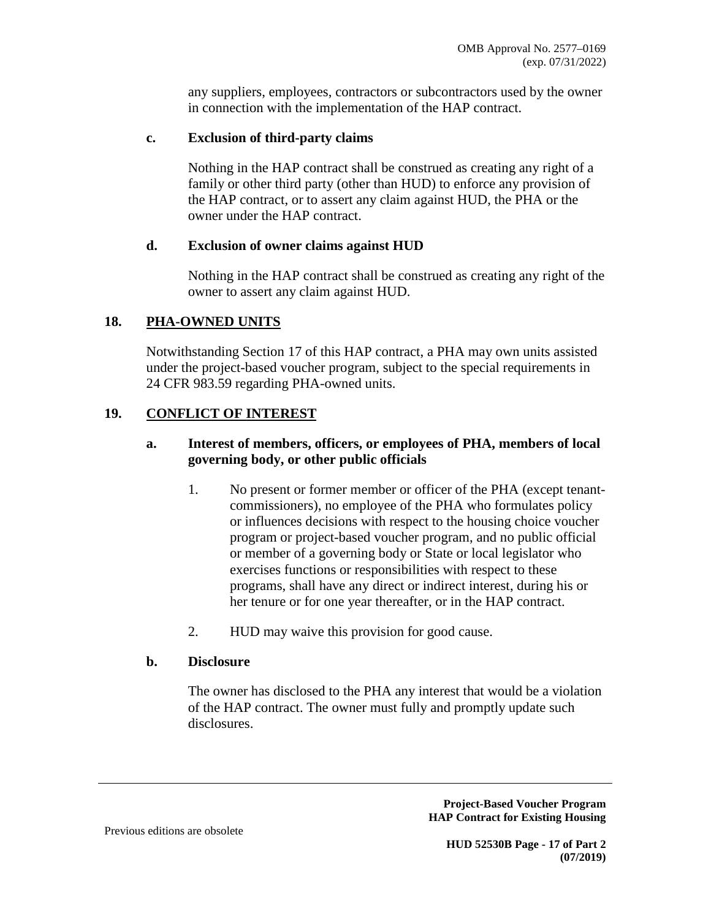any suppliers, employees, contractors or subcontractors used by the owner in connection with the implementation of the HAP contract.

# **c. Exclusion of third-party claims**

Nothing in the HAP contract shall be construed as creating any right of a family or other third party (other than HUD) to enforce any provision of the HAP contract, or to assert any claim against HUD, the PHA or the owner under the HAP contract.

# **d. Exclusion of owner claims against HUD**

Nothing in the HAP contract shall be construed as creating any right of the owner to assert any claim against HUD.

# **18. PHA-OWNED UNITS**

Notwithstanding Section 17 of this HAP contract, a PHA may own units assisted under the project-based voucher program, subject to the special requirements in 24 CFR 983.59 regarding PHA-owned units.

# **19. CONFLICT OF INTEREST**

# **a. Interest of members, officers, or employees of PHA, members of local governing body, or other public officials**

- 1. No present or former member or officer of the PHA (except tenantcommissioners), no employee of the PHA who formulates policy or influences decisions with respect to the housing choice voucher program or project-based voucher program, and no public official or member of a governing body or State or local legislator who exercises functions or responsibilities with respect to these programs, shall have any direct or indirect interest, during his or her tenure or for one year thereafter, or in the HAP contract.
- 2. HUD may waive this provision for good cause.

# **b. Disclosure**

The owner has disclosed to the PHA any interest that would be a violation of the HAP contract. The owner must fully and promptly update such disclosures.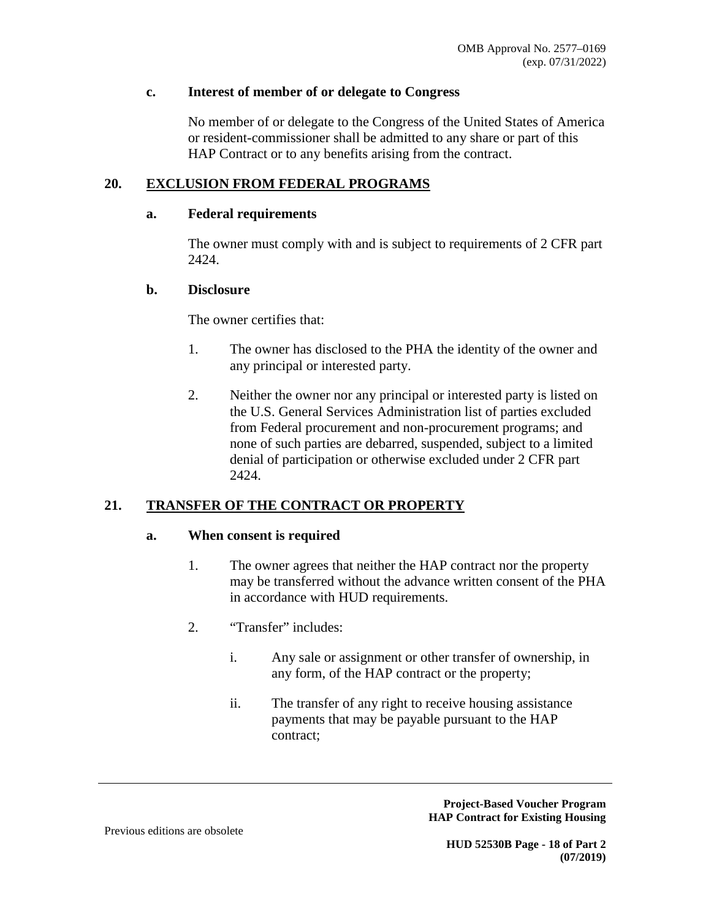### **c. Interest of member of or delegate to Congress**

No member of or delegate to the Congress of the United States of America or resident-commissioner shall be admitted to any share or part of this HAP Contract or to any benefits arising from the contract.

# **20. EXCLUSION FROM FEDERAL PROGRAMS**

### **a. Federal requirements**

The owner must comply with and is subject to requirements of 2 CFR part 2424.

### **b. Disclosure**

The owner certifies that:

- 1. The owner has disclosed to the PHA the identity of the owner and any principal or interested party.
- 2. Neither the owner nor any principal or interested party is listed on the U.S. General Services Administration list of parties excluded from Federal procurement and non-procurement programs; and none of such parties are debarred, suspended, subject to a limited denial of participation or otherwise excluded under 2 CFR part 2424.

# **21. TRANSFER OF THE CONTRACT OR PROPERTY**

#### **a. When consent is required**

- 1. The owner agrees that neither the HAP contract nor the property may be transferred without the advance written consent of the PHA in accordance with HUD requirements.
- 2. "Transfer" includes:
	- i. Any sale or assignment or other transfer of ownership, in any form, of the HAP contract or the property;
	- ii. The transfer of any right to receive housing assistance payments that may be payable pursuant to the HAP contract;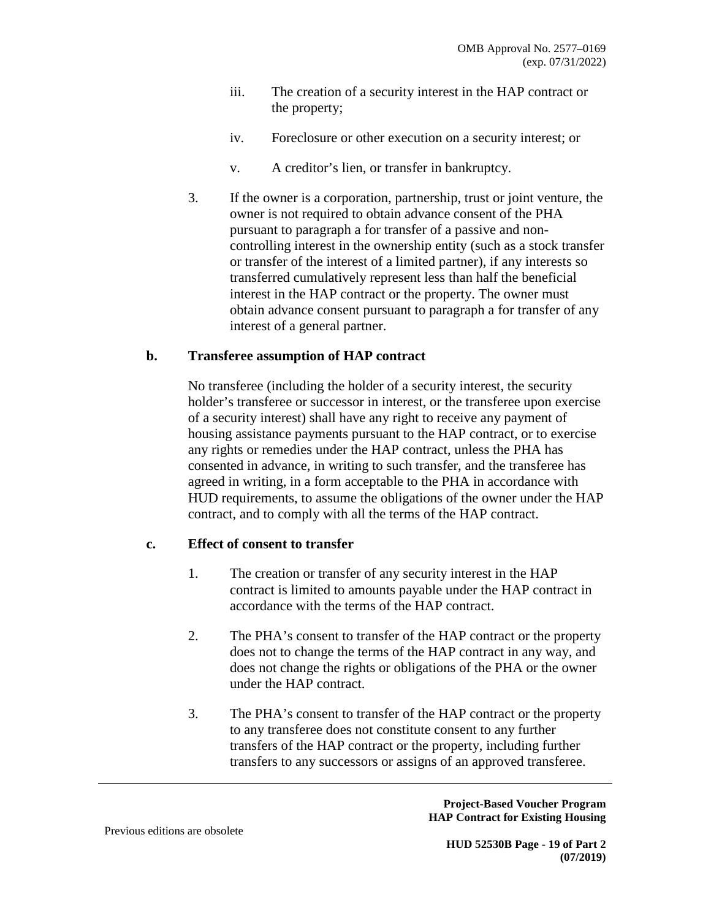- iii. The creation of a security interest in the HAP contract or the property;
- iv. Foreclosure or other execution on a security interest; or
- v. A creditor's lien, or transfer in bankruptcy.
- 3. If the owner is a corporation, partnership, trust or joint venture, the owner is not required to obtain advance consent of the PHA pursuant to paragraph a for transfer of a passive and noncontrolling interest in the ownership entity (such as a stock transfer or transfer of the interest of a limited partner), if any interests so transferred cumulatively represent less than half the beneficial interest in the HAP contract or the property. The owner must obtain advance consent pursuant to paragraph a for transfer of any interest of a general partner.

#### **b. Transferee assumption of HAP contract**

No transferee (including the holder of a security interest, the security holder's transferee or successor in interest, or the transferee upon exercise of a security interest) shall have any right to receive any payment of housing assistance payments pursuant to the HAP contract, or to exercise any rights or remedies under the HAP contract, unless the PHA has consented in advance, in writing to such transfer, and the transferee has agreed in writing, in a form acceptable to the PHA in accordance with HUD requirements, to assume the obligations of the owner under the HAP contract, and to comply with all the terms of the HAP contract.

### **c. Effect of consent to transfer**

- 1. The creation or transfer of any security interest in the HAP contract is limited to amounts payable under the HAP contract in accordance with the terms of the HAP contract.
- 2. The PHA's consent to transfer of the HAP contract or the property does not to change the terms of the HAP contract in any way, and does not change the rights or obligations of the PHA or the owner under the HAP contract.
- 3. The PHA's consent to transfer of the HAP contract or the property to any transferee does not constitute consent to any further transfers of the HAP contract or the property, including further transfers to any successors or assigns of an approved transferee.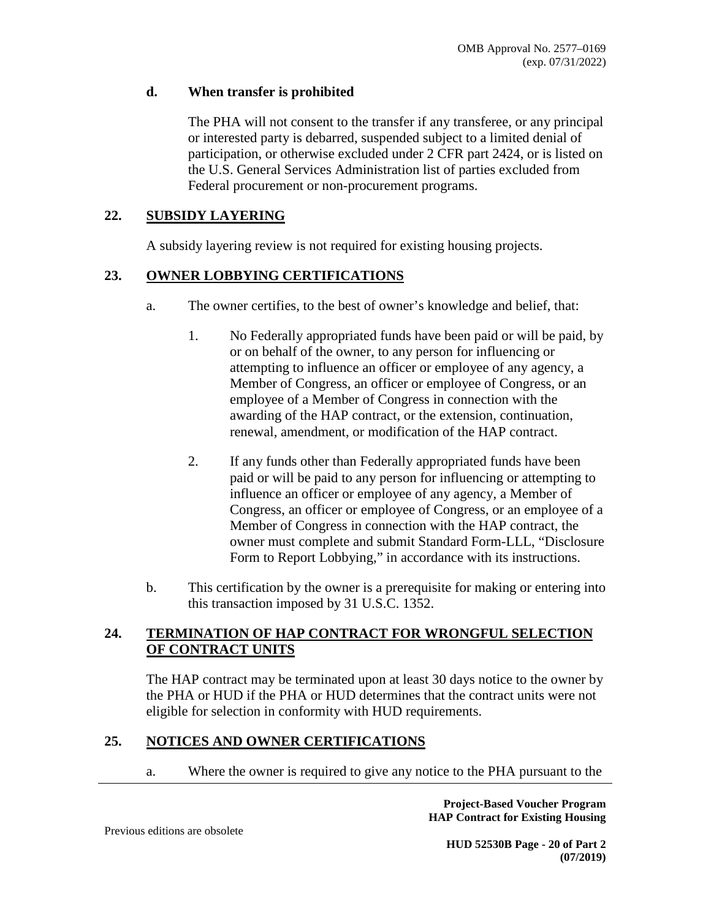### **d. When transfer is prohibited**

The PHA will not consent to the transfer if any transferee, or any principal or interested party is debarred, suspended subject to a limited denial of participation, or otherwise excluded under 2 CFR part 2424, or is listed on the U.S. General Services Administration list of parties excluded from Federal procurement or non-procurement programs.

### **22. SUBSIDY LAYERING**

A subsidy layering review is not required for existing housing projects.

### **23. OWNER LOBBYING CERTIFICATIONS**

- a. The owner certifies, to the best of owner's knowledge and belief, that:
	- 1. No Federally appropriated funds have been paid or will be paid, by or on behalf of the owner, to any person for influencing or attempting to influence an officer or employee of any agency, a Member of Congress, an officer or employee of Congress, or an employee of a Member of Congress in connection with the awarding of the HAP contract, or the extension, continuation, renewal, amendment, or modification of the HAP contract.
	- 2. If any funds other than Federally appropriated funds have been paid or will be paid to any person for influencing or attempting to influence an officer or employee of any agency, a Member of Congress, an officer or employee of Congress, or an employee of a Member of Congress in connection with the HAP contract, the owner must complete and submit Standard Form-LLL, "Disclosure Form to Report Lobbying," in accordance with its instructions.
- b. This certification by the owner is a prerequisite for making or entering into this transaction imposed by 31 U.S.C. 1352.

# **24. TERMINATION OF HAP CONTRACT FOR WRONGFUL SELECTION OF CONTRACT UNITS**

The HAP contract may be terminated upon at least 30 days notice to the owner by the PHA or HUD if the PHA or HUD determines that the contract units were not eligible for selection in conformity with HUD requirements.

# **25. NOTICES AND OWNER CERTIFICATIONS**

a. Where the owner is required to give any notice to the PHA pursuant to the

**Project-Based Voucher Program HAP Contract for Existing Housing** 

Previous editions are obsolete

**HUD 52530B Page - 20 of Part 2 (07/2019)**